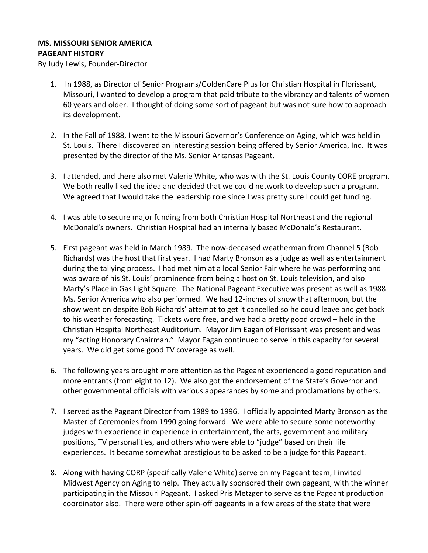## **MS. MISSOURI SENIOR AMERICA PAGEANT HISTORY**

By Judy Lewis, Founder-Director

- 1. In 1988, as Director of Senior Programs/GoldenCare Plus for Christian Hospital in Florissant, Missouri, I wanted to develop a program that paid tribute to the vibrancy and talents of women 60 years and older. I thought of doing some sort of pageant but was not sure how to approach its development.
- 2. In the Fall of 1988, I went to the Missouri Governor's Conference on Aging, which was held in St. Louis. There I discovered an interesting session being offered by Senior America, Inc. It was presented by the director of the Ms. Senior Arkansas Pageant.
- 3. I attended, and there also met Valerie White, who was with the St. Louis County CORE program. We both really liked the idea and decided that we could network to develop such a program. We agreed that I would take the leadership role since I was pretty sure I could get funding.
- 4. I was able to secure major funding from both Christian Hospital Northeast and the regional McDonald's owners. Christian Hospital had an internally based McDonald's Restaurant.
- 5. First pageant was held in March 1989. The now-deceased weatherman from Channel 5 (Bob Richards) was the host that first year. I had Marty Bronson as a judge as well as entertainment during the tallying process. I had met him at a local Senior Fair where he was performing and was aware of his St. Louis' prominence from being a host on St. Louis television, and also Marty's Place in Gas Light Square. The National Pageant Executive was present as well as 1988 Ms. Senior America who also performed. We had 12-inches of snow that afternoon, but the show went on despite Bob Richards' attempt to get it cancelled so he could leave and get back to his weather forecasting. Tickets were free, and we had a pretty good crowd – held in the Christian Hospital Northeast Auditorium. Mayor Jim Eagan of Florissant was present and was my "acting Honorary Chairman." Mayor Eagan continued to serve in this capacity for several years. We did get some good TV coverage as well.
- 6. The following years brought more attention as the Pageant experienced a good reputation and more entrants (from eight to 12). We also got the endorsement of the State's Governor and other governmental officials with various appearances by some and proclamations by others.
- 7. I served as the Pageant Director from 1989 to 1996. I officially appointed Marty Bronson as the Master of Ceremonies from 1990 going forward. We were able to secure some noteworthy judges with experience in experience in entertainment, the arts, government and military positions, TV personalities, and others who were able to "judge" based on their life experiences. It became somewhat prestigious to be asked to be a judge for this Pageant.
- 8. Along with having CORP (specifically Valerie White) serve on my Pageant team, I invited Midwest Agency on Aging to help. They actually sponsored their own pageant, with the winner participating in the Missouri Pageant. I asked Pris Metzger to serve as the Pageant production coordinator also. There were other spin-off pageants in a few areas of the state that were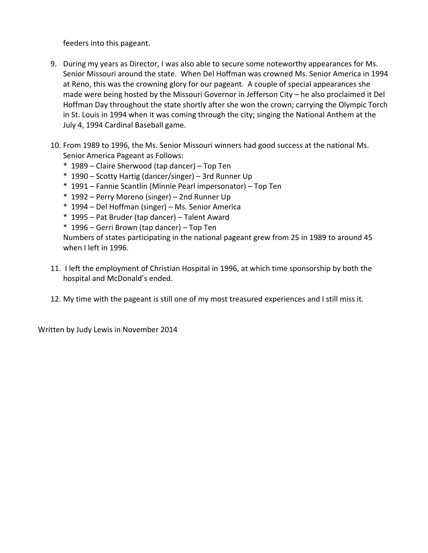feeders into this pageant.

- 9. During my years as Director, I was also able to secure some noteworthy appearances for Ms. Senior Missouri around the state. When Del Hoffman was crowned Ms. Senior America in 1994 at Reno, this was the crowning glory for our pageant. A couple of special appearances she made were being hosted by the Missouri Governor in Jefferson City – he also proclaimed it Del Hoffman Day throughout the state shortly after she won the crown; carrying the Olympic Torch in St. Louis in 1994 when it was coming through the city; singing the National Anthem at the July 4, 1994 Cardinal Baseball game.
- 10. From 1989 to 1996, the Ms. Senior Missouri winners had good success at the national Ms. Senior America Pageant as Follows:
	- \* 1989 Claire Sherwood (tap dancer) Top Ten
	- \* 1990 Scotty Hartig (dancer/singer) 3rd Runner Up
	- \* 1991 Fannie Scantlin (Minnie Pearl impersonator) Top Ten
	- \* 1992 Perry Moreno (singer) 2nd Runner Up
	- \* 1994 Del Hoffman (singer) Ms. Senior America
	- \* 1995 Pat Bruder (tap dancer) Talent Award
	- \* 1996 Gerri Brown (tap dancer) Top Ten

Numbers of states participating in the national pageant grew from 25 in 1989 to around 45 when I left in 1996.

- 11. I left the employment of Christian Hospital in 1996, at which time sponsorship by both the hospital and McDonald's ended.
- 12. My time with the pageant is still one of my most treasured experiences and I still miss it.

Written by Judy Lewis in November 2014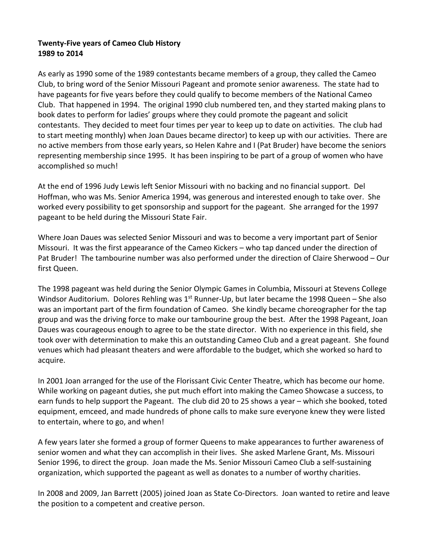## **Twenty-Five years of Cameo Club History 1989 to 2014**

As early as 1990 some of the 1989 contestants became members of a group, they called the Cameo Club, to bring word of the Senior Missouri Pageant and promote senior awareness. The state had to have pageants for five years before they could qualify to become members of the National Cameo Club. That happened in 1994. The original 1990 club numbered ten, and they started making plans to book dates to perform for ladies' groups where they could promote the pageant and solicit contestants. They decided to meet four times per year to keep up to date on activities. The club had to start meeting monthly) when Joan Daues became director) to keep up with our activities. There are no active members from those early years, so Helen Kahre and I (Pat Bruder) have become the seniors representing membership since 1995. It has been inspiring to be part of a group of women who have accomplished so much!

At the end of 1996 Judy Lewis left Senior Missouri with no backing and no financial support. Del Hoffman, who was Ms. Senior America 1994, was generous and interested enough to take over. She worked every possibility to get sponsorship and support for the pageant. She arranged for the 1997 pageant to be held during the Missouri State Fair.

Where Joan Daues was selected Senior Missouri and was to become a very important part of Senior Missouri. It was the first appearance of the Cameo Kickers – who tap danced under the direction of Pat Bruder! The tambourine number was also performed under the direction of Claire Sherwood – Our first Queen.

The 1998 pageant was held during the Senior Olympic Games in Columbia, Missouri at Stevens College Windsor Auditorium. Dolores Rehling was  $1<sup>st</sup>$  Runner-Up, but later became the 1998 Queen – She also was an important part of the firm foundation of Cameo. She kindly became choreographer for the tap group and was the driving force to make our tambourine group the best. After the 1998 Pageant, Joan Daues was courageous enough to agree to be the state director. With no experience in this field, she took over with determination to make this an outstanding Cameo Club and a great pageant. She found venues which had pleasant theaters and were affordable to the budget, which she worked so hard to acquire.

In 2001 Joan arranged for the use of the Florissant Civic Center Theatre, which has become our home. While working on pageant duties, she put much effort into making the Cameo Showcase a success, to earn funds to help support the Pageant. The club did 20 to 25 shows a year – which she booked, toted equipment, emceed, and made hundreds of phone calls to make sure everyone knew they were listed to entertain, where to go, and when!

A few years later she formed a group of former Queens to make appearances to further awareness of senior women and what they can accomplish in their lives. She asked Marlene Grant, Ms. Missouri Senior 1996, to direct the group. Joan made the Ms. Senior Missouri Cameo Club a self-sustaining organization, which supported the pageant as well as donates to a number of worthy charities.

In 2008 and 2009, Jan Barrett (2005) joined Joan as State Co-Directors. Joan wanted to retire and leave the position to a competent and creative person.